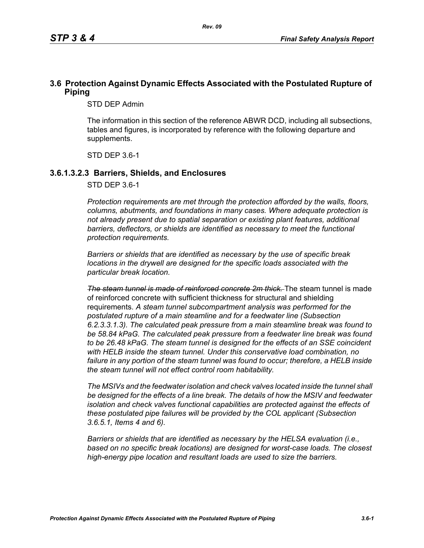## **3.6 Protection Against Dynamic Effects Associated with the Postulated Rupture of Piping**

STD DEP Admin

The information in this section of the reference ABWR DCD, including all subsections, tables and figures, is incorporated by reference with the following departure and supplements.

STD DEP 3.6-1

#### **3.6.1.3.2.3 Barriers, Shields, and Enclosures**

STD DEP 3.6-1

*Protection requirements are met through the protection afforded by the walls, floors, columns, abutments, and foundations in many cases. Where adequate protection is not already present due to spatial separation or existing plant features, additional*  barriers, deflectors, or shields are identified as necessary to meet the functional *protection requirements.*

*Barriers or shields that are identified as necessary by the use of specific break locations in the drywell are designed for the specific loads associated with the particular break location.*

*The steam tunnel is made of reinforced concrete 2m thick.* The steam tunnel is made of reinforced concrete with sufficient thickness for structural and shielding requirements. *A steam tunnel subcompartment analysis was performed for the postulated rupture of a main steamline and for a feedwater line (Subsection 6.2.3.3.1.3). The calculated peak pressure from a main steamline break was found to be 58.84 kPaG. The calculated peak pressure from a feedwater line break was found to be 26.48 kPaG. The steam tunnel is designed for the effects of an SSE coincident with HELB inside the steam tunnel. Under this conservative load combination, no failure in any portion of the steam tunnel was found to occur; therefore, a HELB inside the steam tunnel will not effect control room habitability.*

*The MSIVs and the feedwater isolation and check valves located inside the tunnel shall be designed for the effects of a line break. The details of how the MSIV and feedwater isolation and check valves functional capabilities are protected against the effects of these postulated pipe failures will be provided by the COL applicant (Subsection 3.6.5.1, Items 4 and 6).*

*Barriers or shields that are identified as necessary by the HELSA evaluation (i.e., based on no specific break locations) are designed for worst-case loads. The closest high-energy pipe location and resultant loads are used to size the barriers.*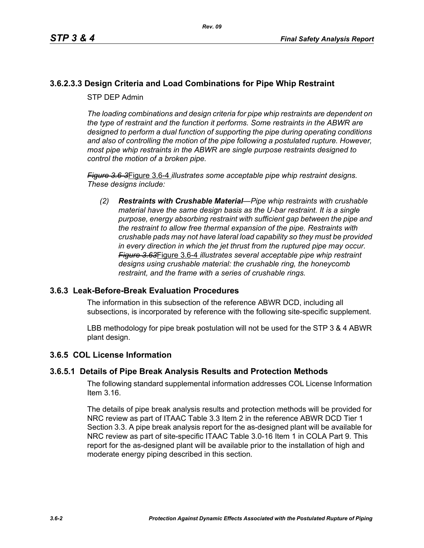# **3.6.2.3.3 Design Criteria and Load Combinations for Pipe Whip Restraint**

STP DEP Admin

*The loading combinations and design criteria for pipe whip restraints are dependent on the type of restraint and the function it performs. Some restraints in the ABWR are designed to perform a dual function of supporting the pipe during operating conditions and also of controlling the motion of the pipe following a postulated rupture. However, most pipe whip restraints in the ABWR are single purpose restraints designed to control the motion of a broken pipe.*

*Figure 3.6-3*Figure 3.6-4 *illustrates some acceptable pipe whip restraint designs. These designs include:*

*(2) Restraints with Crushable Material—Pipe whip restraints with crushable material have the same design basis as the U-bar restraint. It is a single purpose, energy absorbing restraint with sufficient gap between the pipe and the restraint to allow free thermal expansion of the pipe. Restraints with crushable pads may not have lateral load capability so they must be provided in every direction in which the jet thrust from the ruptured pipe may occur. Figure 3.63*Figure 3.6-4 *illustrates several acceptable pipe whip restraint designs using crushable material: the crushable ring, the honeycomb restraint, and the frame with a series of crushable rings.*

### **3.6.3 Leak-Before-Break Evaluation Procedures**

The information in this subsection of the reference ABWR DCD, including all subsections, is incorporated by reference with the following site-specific supplement.

LBB methodology for pipe break postulation will not be used for the STP 3 & 4 ABWR plant design.

### **3.6.5 COL License Information**

### **3.6.5.1 Details of Pipe Break Analysis Results and Protection Methods**

The following standard supplemental information addresses COL License Information Item 3.16.

The details of pipe break analysis results and protection methods will be provided for NRC review as part of ITAAC Table 3.3 Item 2 in the reference ABWR DCD Tier 1 Section 3.3. A pipe break analysis report for the as-designed plant will be available for NRC review as part of site-specific ITAAC Table 3.0-16 Item 1 in COLA Part 9. This report for the as-designed plant will be available prior to the installation of high and moderate energy piping described in this section.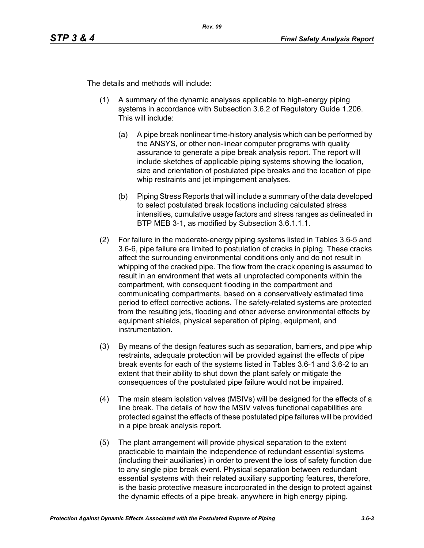The details and methods will include:

- (1) A summary of the dynamic analyses applicable to high-energy piping systems in accordance with Subsection 3.6.2 of Regulatory Guide 1.206. This will include:
	- (a) A pipe break nonlinear time-history analysis which can be performed by the ANSYS, or other non-linear computer programs with quality assurance to generate a pipe break analysis report. The report will include sketches of applicable piping systems showing the location, size and orientation of postulated pipe breaks and the location of pipe whip restraints and jet impingement analyses.
	- (b) Piping Stress Reports that will include a summary of the data developed to select postulated break locations including calculated stress intensities, cumulative usage factors and stress ranges as delineated in BTP MEB 3-1, as modified by Subsection 3.6.1.1.1.
- (2) For failure in the moderate-energy piping systems listed in Tables 3.6-5 and 3.6-6, pipe failure are limited to postulation of cracks in piping. These cracks affect the surrounding environmental conditions only and do not result in whipping of the cracked pipe. The flow from the crack opening is assumed to result in an environment that wets all unprotected components within the compartment, with consequent flooding in the compartment and communicating compartments, based on a conservatively estimated time period to effect corrective actions. The safety-related systems are protected from the resulting jets, flooding and other adverse environmental effects by equipment shields, physical separation of piping, equipment, and instrumentation.
- (3) By means of the design features such as separation, barriers, and pipe whip restraints, adequate protection will be provided against the effects of pipe break events for each of the systems listed in Tables 3.6-1 and 3.6-2 to an extent that their ability to shut down the plant safely or mitigate the consequences of the postulated pipe failure would not be impaired.
- (4) The main steam isolation valves (MSIVs) will be designed for the effects of a line break. The details of how the MSIV valves functional capabilities are protected against the effects of these postulated pipe failures will be provided in a pipe break analysis report*.*
- (5) The plant arrangement will provide physical separation to the extent practicable to maintain the independence of redundant essential systems (including their auxiliaries) in order to prevent the loss of safety function due to any single pipe break event. Physical separation between redundant essential systems with their related auxiliary supporting features, therefore, is the basic protective measure incorporated in the design to protect against the dynamic effects of a pipe break. anywhere in high energy piping*.*